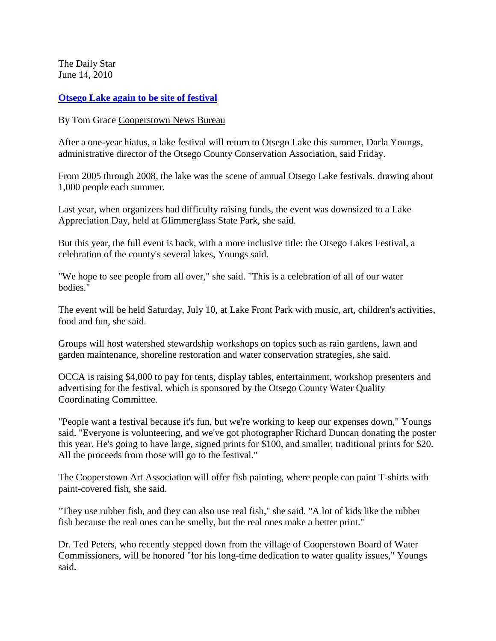The Daily Star June 14, 2010

## **[Otsego Lake again to be site of festival](http://www.thedailystar.com/localnews/x371477889/Otsego-Lake-again-to-be-site-of-festival)**

By Tom Grace [Cooperstown News Bureau](http://www.thedailystar.com/)

After a one-year hiatus, a lake festival will return to Otsego Lake this summer, Darla Youngs, administrative director of the Otsego County Conservation Association, said Friday.

From 2005 through 2008, the lake was the scene of annual Otsego Lake festivals, drawing about 1,000 people each summer.

Last year, when organizers had difficulty raising funds, the event was downsized to a Lake Appreciation Day, held at Glimmerglass State Park, she said.

But this year, the full event is back, with a more inclusive title: the Otsego Lakes Festival, a celebration of the county's several lakes, Youngs said.

"We hope to see people from all over," she said. "This is a celebration of all of our water bodies."

The event will be held Saturday, July 10, at Lake Front Park with music, art, children's activities, food and fun, she said.

Groups will host watershed stewardship workshops on topics such as rain gardens, lawn and garden maintenance, shoreline restoration and water conservation strategies, she said.

OCCA is raising \$4,000 to pay for tents, display tables, entertainment, workshop presenters and advertising for the festival, which is sponsored by the Otsego County Water Quality Coordinating Committee.

"People want a festival because it's fun, but we're working to keep our expenses down," Youngs said. "Everyone is volunteering, and we've got photographer Richard Duncan donating the poster this year. He's going to have large, signed prints for \$100, and smaller, traditional prints for \$20. All the proceeds from those will go to the festival."

The Cooperstown Art Association will offer fish painting, where people can paint T-shirts with paint-covered fish, she said.

"They use rubber fish, and they can also use real fish," she said. "A lot of kids like the rubber fish because the real ones can be smelly, but the real ones make a better print."

Dr. Ted Peters, who recently stepped down from the village of Cooperstown Board of Water Commissioners, will be honored "for his long-time dedication to water quality issues," Youngs said.